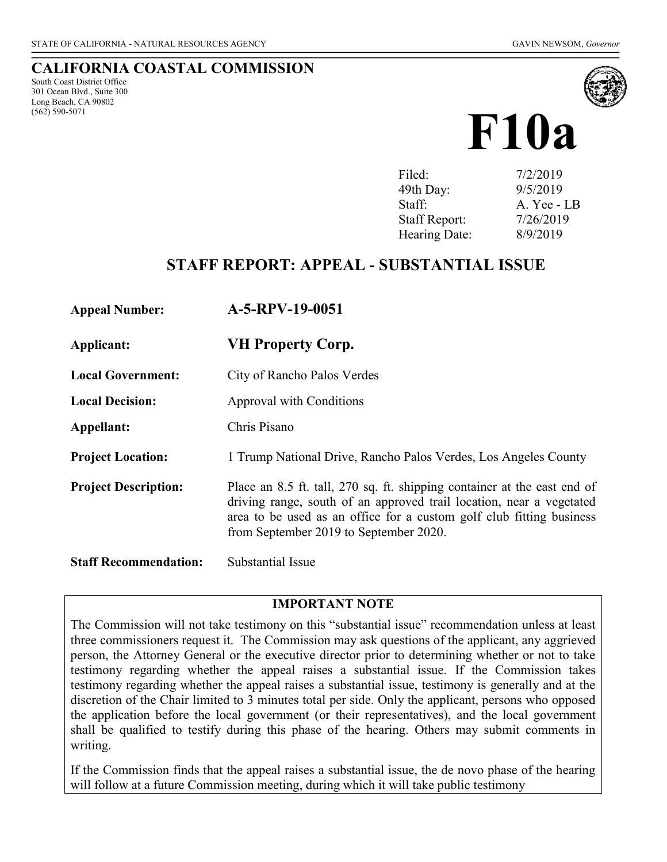# **CALIFORNIA COASTAL COMMISSION**

South Coast District Office 301 Ocean Blvd., Suite 300 Long Beach, CA 90802 (562) 590-5071



# **F10a**

| 7/2/2019    |
|-------------|
| 9/5/2019    |
| A. Yee - LB |
| 7/26/2019   |
| 8/9/2019    |
|             |

# **STAFF REPORT: APPEAL - SUBSTANTIAL ISSUE**

| <b>Appeal Number:</b> | A-5-RPV-19-0051 |
|-----------------------|-----------------|
|-----------------------|-----------------|

- **Applicant: VH Property Corp.**
- **Local Government:** City of Rancho Palos Verdes
- **Local Decision:** Approval with Conditions
- **Appellant:** Chris Pisano
- **Project Location:** 1 Trump National Drive, Rancho Palos Verdes, Los Angeles County
- **Project Description:** Place an 8.5 ft. tall, 270 sq. ft. shipping container at the east end of driving range, south of an approved trail location, near a vegetated area to be used as an office for a custom golf club fitting business from September 2019 to September 2020.

**Staff Recommendation:** Substantial Issue

#### **IMPORTANT NOTE**

The Commission will not take testimony on this "substantial issue" recommendation unless at least three commissioners request it. The Commission may ask questions of the applicant, any aggrieved person, the Attorney General or the executive director prior to determining whether or not to take testimony regarding whether the appeal raises a substantial issue. If the Commission takes testimony regarding whether the appeal raises a substantial issue, testimony is generally and at the discretion of the Chair limited to 3 minutes total per side. Only the applicant, persons who opposed the application before the local government (or their representatives), and the local government shall be qualified to testify during this phase of the hearing. Others may submit comments in writing.

If the Commission finds that the appeal raises a substantial issue, the de novo phase of the hearing will follow at a future Commission meeting, during which it will take public testimony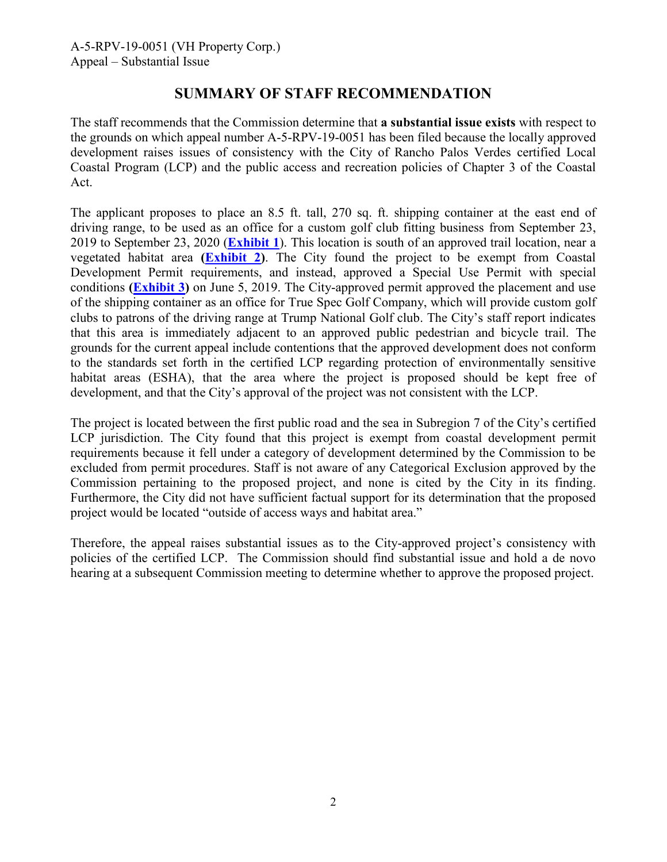# **SUMMARY OF STAFF RECOMMENDATION**

The staff recommends that the Commission determine that **a substantial issue exists** with respect to the grounds on which appeal number A-5-RPV-19-0051 has been filed because the locally approved development raises issues of consistency with the City of Rancho Palos Verdes certified Local Coastal Program (LCP) and the public access and recreation policies of Chapter 3 of the Coastal Act.

The applicant proposes to place an 8.5 ft. tall, 270 sq. ft. shipping container at the east end of driving range, to be used as an office for a custom golf club fitting business from September 23, 2019 to September 23, 2020 (**[Exhibit 1](https://documents.coastal.ca.gov/reports/2019/8/F10a/F10a-8-2019-exhibits.pdf)**). This location is south of an approved trail location, near a vegetated habitat area **[\(Exhibit 2\)](https://documents.coastal.ca.gov/reports/2019/8/F10a/F10a-8-2019-exhibits.pdf)**. The City found the project to be exempt from Coastal Development Permit requirements, and instead, approved a Special Use Permit with special conditions **[\(Exhibit 3\)](https://documents.coastal.ca.gov/reports/2019/8/F10a/F10a-8-2019-exhibits.pdf)** on June 5, 2019. The City-approved permit approved the placement and use of the shipping container as an office for True Spec Golf Company, which will provide custom golf clubs to patrons of the driving range at Trump National Golf club. The City's staff report indicates that this area is immediately adjacent to an approved public pedestrian and bicycle trail. The grounds for the current appeal include contentions that the approved development does not conform to the standards set forth in the certified LCP regarding protection of environmentally sensitive habitat areas (ESHA), that the area where the project is proposed should be kept free of development, and that the City's approval of the project was not consistent with the LCP.

The project is located between the first public road and the sea in Subregion 7 of the City's certified LCP jurisdiction. The City found that this project is exempt from coastal development permit requirements because it fell under a category of development determined by the Commission to be excluded from permit procedures. Staff is not aware of any Categorical Exclusion approved by the Commission pertaining to the proposed project, and none is cited by the City in its finding. Furthermore, the City did not have sufficient factual support for its determination that the proposed project would be located "outside of access ways and habitat area."

Therefore, the appeal raises substantial issues as to the City-approved project's consistency with policies of the certified LCP. The Commission should find substantial issue and hold a de novo hearing at a subsequent Commission meeting to determine whether to approve the proposed project.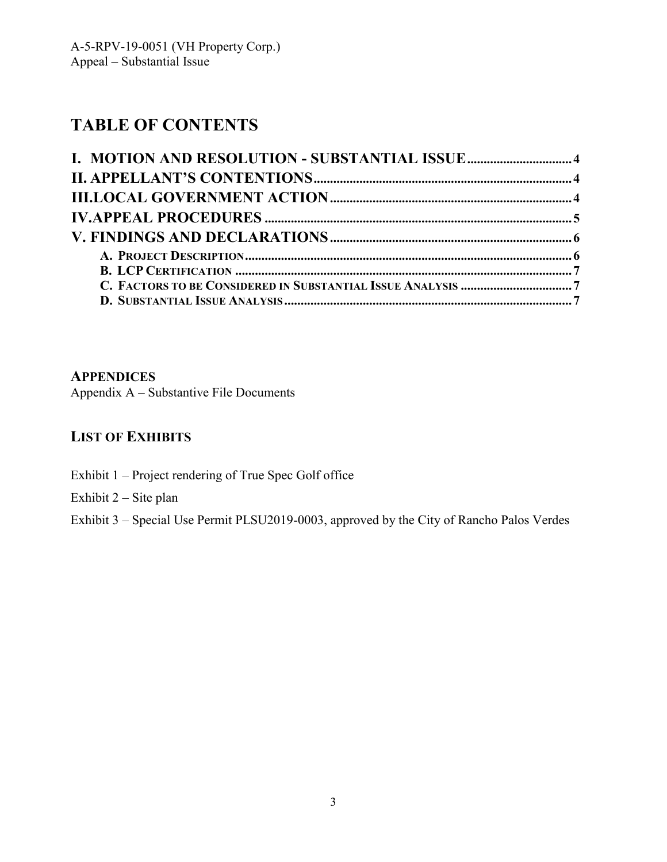# **TABLE OF CONTENTS**

## **APPENDICES**

Appendix A – Substantive File Documents

# **LIST OF EXHIBITS**

Exhibit 1 – Project rendering of True Spec Golf office

Exhibit 2 – Site plan

Exhibit 3 – Special Use Permit PLSU2019-0003, approved by the City of Rancho Palos Verdes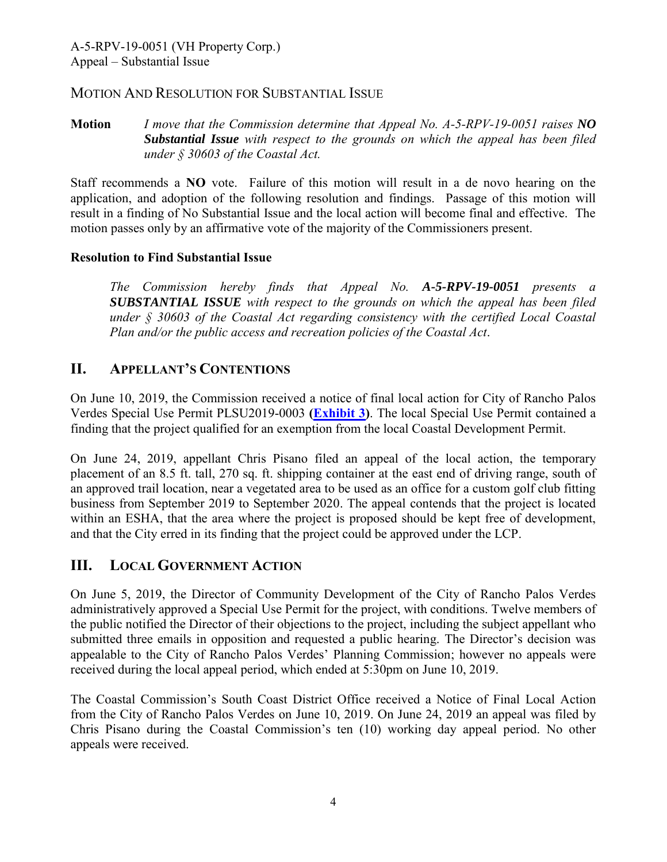## MOTION AND RESOLUTION FOR SUBSTANTIAL ISSUE

**Motion** *I move that the Commission determine that Appeal No. A-5-RPV-19-0051 raises NO Substantial Issue with respect to the grounds on which the appeal has been filed under § 30603 of the Coastal Act.*

Staff recommends a **NO** vote. Failure of this motion will result in a de novo hearing on the application, and adoption of the following resolution and findings. Passage of this motion will result in a finding of No Substantial Issue and the local action will become final and effective. The motion passes only by an affirmative vote of the majority of the Commissioners present.

## **Resolution to Find Substantial Issue**

*The Commission hereby finds that Appeal No. A-5-RPV-19-0051 presents a SUBSTANTIAL ISSUE with respect to the grounds on which the appeal has been filed under § 30603 of the Coastal Act regarding consistency with the certified Local Coastal Plan and/or the public access and recreation policies of the Coastal Act*.

## **II. APPELLANT'S CONTENTIONS**

On June 10, 2019, the Commission received a notice of final local action for City of Rancho Palos Verdes Special Use Permit PLSU2019-0003 **[\(Exhibit 3\)](https://documents.coastal.ca.gov/reports/2019/8/F10a/F10a-8-2019-exhibits.pdf)**. The local Special Use Permit contained a finding that the project qualified for an exemption from the local Coastal Development Permit.

On June 24, 2019, appellant Chris Pisano filed an appeal of the local action, the temporary placement of an 8.5 ft. tall, 270 sq. ft. shipping container at the east end of driving range, south of an approved trail location, near a vegetated area to be used as an office for a custom golf club fitting business from September 2019 to September 2020. The appeal contends that the project is located within an ESHA, that the area where the project is proposed should be kept free of development, and that the City erred in its finding that the project could be approved under the LCP.

# **III. LOCAL GOVERNMENT ACTION**

On June 5, 2019, the Director of Community Development of the City of Rancho Palos Verdes administratively approved a Special Use Permit for the project, with conditions. Twelve members of the public notified the Director of their objections to the project, including the subject appellant who submitted three emails in opposition and requested a public hearing. The Director's decision was appealable to the City of Rancho Palos Verdes' Planning Commission; however no appeals were received during the local appeal period, which ended at 5:30pm on June 10, 2019.

The Coastal Commission's South Coast District Office received a Notice of Final Local Action from the City of Rancho Palos Verdes on June 10, 2019. On June 24, 2019 an appeal was filed by Chris Pisano during the Coastal Commission's ten (10) working day appeal period. No other appeals were received.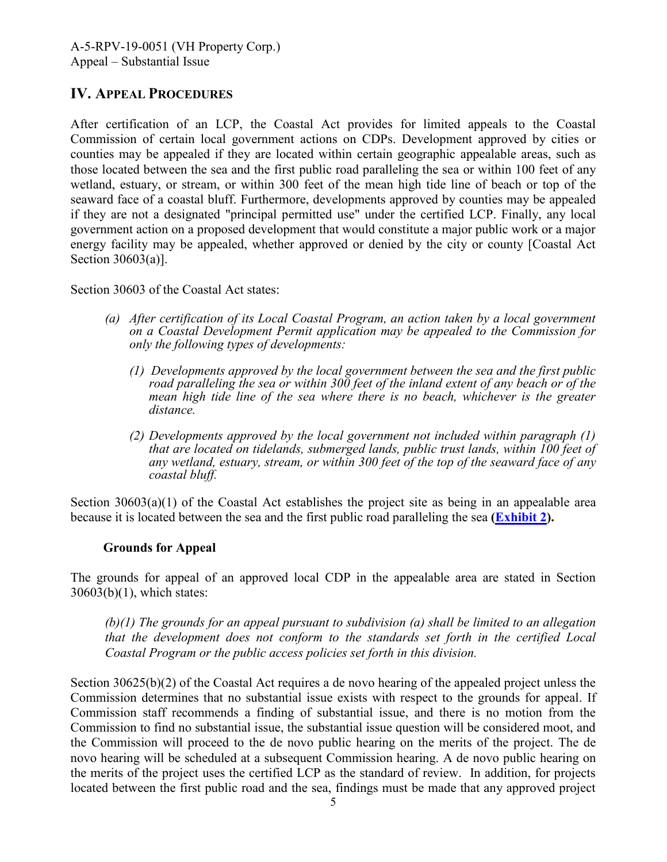## **IV. APPEAL PROCEDURES**

After certification of an LCP, the Coastal Act provides for limited appeals to the Coastal Commission of certain local government actions on CDPs. Development approved by cities or counties may be appealed if they are located within certain geographic appealable areas, such as those located between the sea and the first public road paralleling the sea or within 100 feet of any wetland, estuary, or stream, or within 300 feet of the mean high tide line of beach or top of the seaward face of a coastal bluff. Furthermore, developments approved by counties may be appealed if they are not a designated "principal permitted use" under the certified LCP. Finally, any local government action on a proposed development that would constitute a major public work or a major energy facility may be appealed, whether approved or denied by the city or county [Coastal Act Section 30603(a)].

Section 30603 of the Coastal Act states:

- *(a) After certification of its Local Coastal Program, an action taken by a local government on a Coastal Development Permit application may be appealed to the Commission for only the following types of developments:* 
	- *(1) Developments approved by the local government between the sea and the first public road paralleling the sea or within 300 feet of the inland extent of any beach or of the mean high tide line of the sea where there is no beach, whichever is the greater distance.*
	- *(2) Developments approved by the local government not included within paragraph (1) that are located on tidelands, submerged lands, public trust lands, within 100 feet of any wetland, estuary, stream, or within 300 feet of the top of the seaward face of any coastal bluff.*

Section 30603(a)(1) of the Coastal Act establishes the project site as being in an appealable area because it is located between the sea and the first public road paralleling the sea **[\(Exhibit 2\)](https://documents.coastal.ca.gov/reports/2019/8/F10a/F10a-8-2019-exhibits.pdf).**

## **Grounds for Appeal**

The grounds for appeal of an approved local CDP in the appealable area are stated in Section 30603(b)(1), which states:

 *(b)(1) The grounds for an appeal pursuant to subdivision (a) shall be limited to an allegation that the development does not conform to the standards set forth in the certified Local Coastal Program or the public access policies set forth in this division.* 

Section 30625(b)(2) of the Coastal Act requires a de novo hearing of the appealed project unless the Commission determines that no substantial issue exists with respect to the grounds for appeal. If Commission staff recommends a finding of substantial issue, and there is no motion from the Commission to find no substantial issue, the substantial issue question will be considered moot, and the Commission will proceed to the de novo public hearing on the merits of the project. The de novo hearing will be scheduled at a subsequent Commission hearing. A de novo public hearing on the merits of the project uses the certified LCP as the standard of review. In addition, for projects located between the first public road and the sea, findings must be made that any approved project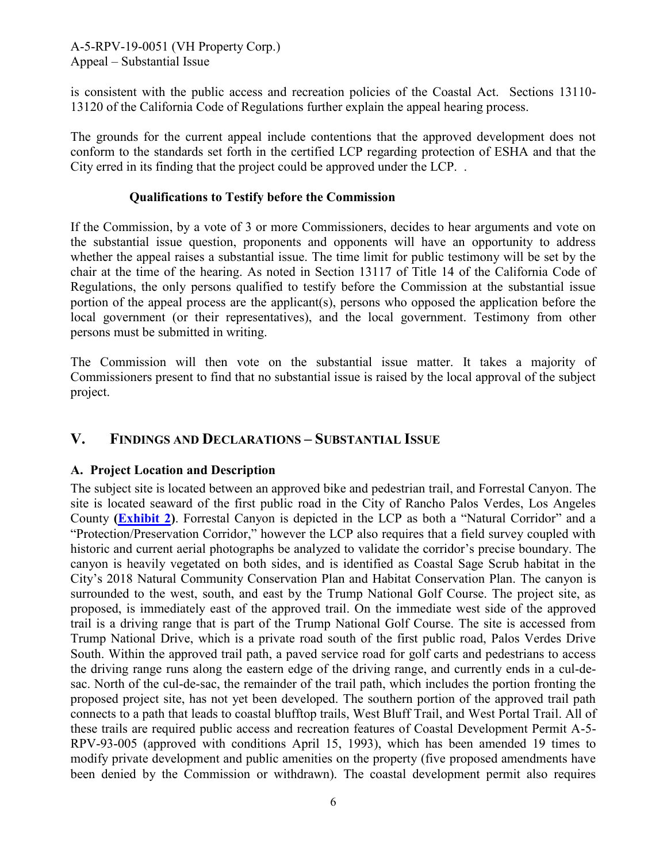is consistent with the public access and recreation policies of the Coastal Act. Sections 13110- 13120 of the California Code of Regulations further explain the appeal hearing process.

The grounds for the current appeal include contentions that the approved development does not conform to the standards set forth in the certified LCP regarding protection of ESHA and that the City erred in its finding that the project could be approved under the LCP. .

#### **Qualifications to Testify before the Commission**

If the Commission, by a vote of 3 or more Commissioners, decides to hear arguments and vote on the substantial issue question, proponents and opponents will have an opportunity to address whether the appeal raises a substantial issue. The time limit for public testimony will be set by the chair at the time of the hearing. As noted in Section 13117 of Title 14 of the California Code of Regulations, the only persons qualified to testify before the Commission at the substantial issue portion of the appeal process are the applicant(s), persons who opposed the application before the local government (or their representatives), and the local government. Testimony from other persons must be submitted in writing.

The Commission will then vote on the substantial issue matter. It takes a majority of Commissioners present to find that no substantial issue is raised by the local approval of the subject project.

# **V. FINDINGS AND DECLARATIONS – SUBSTANTIAL ISSUE**

## **A. Project Location and Description**

The subject site is located between an approved bike and pedestrian trail, and Forrestal Canyon. The site is located seaward of the first public road in the City of Rancho Palos Verdes, Los Angeles County **[\(Exhibit 2\)](https://documents.coastal.ca.gov/reports/2019/8/F10a/F10a-8-2019-exhibits.pdf)**. Forrestal Canyon is depicted in the LCP as both a "Natural Corridor" and a "Protection/Preservation Corridor," however the LCP also requires that a field survey coupled with historic and current aerial photographs be analyzed to validate the corridor's precise boundary. The canyon is heavily vegetated on both sides, and is identified as Coastal Sage Scrub habitat in the City's 2018 Natural Community Conservation Plan and Habitat Conservation Plan. The canyon is surrounded to the west, south, and east by the Trump National Golf Course. The project site, as proposed, is immediately east of the approved trail. On the immediate west side of the approved trail is a driving range that is part of the Trump National Golf Course. The site is accessed from Trump National Drive, which is a private road south of the first public road, Palos Verdes Drive South. Within the approved trail path, a paved service road for golf carts and pedestrians to access the driving range runs along the eastern edge of the driving range, and currently ends in a cul-desac. North of the cul-de-sac, the remainder of the trail path, which includes the portion fronting the proposed project site, has not yet been developed. The southern portion of the approved trail path connects to a path that leads to coastal blufftop trails, West Bluff Trail, and West Portal Trail. All of these trails are required public access and recreation features of Coastal Development Permit A-5- RPV-93-005 (approved with conditions April 15, 1993), which has been amended 19 times to modify private development and public amenities on the property (five proposed amendments have been denied by the Commission or withdrawn). The coastal development permit also requires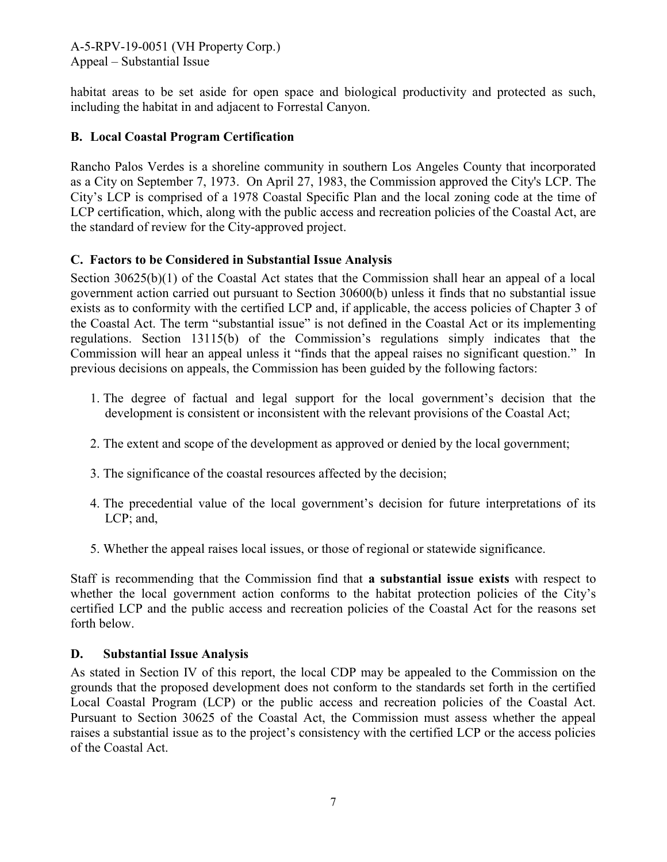habitat areas to be set aside for open space and biological productivity and protected as such, including the habitat in and adjacent to Forrestal Canyon.

## **B. Local Coastal Program Certification**

Rancho Palos Verdes is a shoreline community in southern Los Angeles County that incorporated as a City on September 7, 1973. On April 27, 1983, the Commission approved the City's LCP. The City's LCP is comprised of a 1978 Coastal Specific Plan and the local zoning code at the time of LCP certification, which, along with the public access and recreation policies of the Coastal Act, are the standard of review for the City-approved project.

## **C. Factors to be Considered in Substantial Issue Analysis**

Section 30625(b)(1) of the Coastal Act states that the Commission shall hear an appeal of a local government action carried out pursuant to Section 30600(b) unless it finds that no substantial issue exists as to conformity with the certified LCP and, if applicable, the access policies of Chapter 3 of the Coastal Act. The term "substantial issue" is not defined in the Coastal Act or its implementing regulations. Section 13115(b) of the Commission's regulations simply indicates that the Commission will hear an appeal unless it "finds that the appeal raises no significant question." In previous decisions on appeals, the Commission has been guided by the following factors:

- 1. The degree of factual and legal support for the local government's decision that the development is consistent or inconsistent with the relevant provisions of the Coastal Act;
- 2. The extent and scope of the development as approved or denied by the local government;
- 3. The significance of the coastal resources affected by the decision;
- 4. The precedential value of the local government's decision for future interpretations of its LCP; and,
- 5. Whether the appeal raises local issues, or those of regional or statewide significance.

Staff is recommending that the Commission find that **a substantial issue exists** with respect to whether the local government action conforms to the habitat protection policies of the City's certified LCP and the public access and recreation policies of the Coastal Act for the reasons set forth below.

## **D. Substantial Issue Analysis**

As stated in Section IV of this report, the local CDP may be appealed to the Commission on the grounds that the proposed development does not conform to the standards set forth in the certified Local Coastal Program (LCP) or the public access and recreation policies of the Coastal Act. Pursuant to Section 30625 of the Coastal Act, the Commission must assess whether the appeal raises a substantial issue as to the project's consistency with the certified LCP or the access policies of the Coastal Act.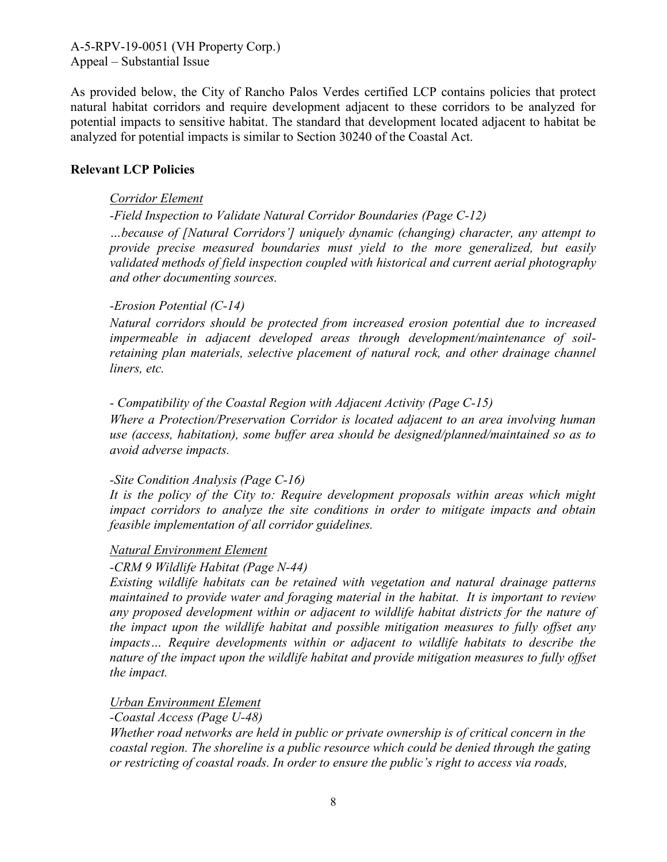As provided below, the City of Rancho Palos Verdes certified LCP contains policies that protect natural habitat corridors and require development adjacent to these corridors to be analyzed for potential impacts to sensitive habitat. The standard that development located adjacent to habitat be analyzed for potential impacts is similar to Section 30240 of the Coastal Act.

#### **Relevant LCP Policies**

#### *Corridor Element*

*-Field Inspection to Validate Natural Corridor Boundaries (Page C-12)* 

*…because of [Natural Corridors'] uniquely dynamic (changing) character, any attempt to provide precise measured boundaries must yield to the more generalized, but easily validated methods of field inspection coupled with historical and current aerial photography and other documenting sources.* 

#### *-Erosion Potential (C-14)*

*Natural corridors should be protected from increased erosion potential due to increased impermeable in adjacent developed areas through development/maintenance of soilretaining plan materials, selective placement of natural rock, and other drainage channel liners, etc.* 

#### *- Compatibility of the Coastal Region with Adjacent Activity (Page C-15)*

*Where a Protection/Preservation Corridor is located adjacent to an area involving human use (access, habitation), some buffer area should be designed/planned/maintained so as to avoid adverse impacts.* 

#### *-Site Condition Analysis (Page C-16)*

*It is the policy of the City to: Require development proposals within areas which might impact corridors to analyze the site conditions in order to mitigate impacts and obtain feasible implementation of all corridor guidelines.* 

#### *Natural Environment Element*

## *-CRM 9 Wildlife Habitat (Page N-44)*

*Existing wildlife habitats can be retained with vegetation and natural drainage patterns maintained to provide water and foraging material in the habitat. It is important to review any proposed development within or adjacent to wildlife habitat districts for the nature of the impact upon the wildlife habitat and possible mitigation measures to fully offset any impacts… Require developments within or adjacent to wildlife habitats to describe the nature of the impact upon the wildlife habitat and provide mitigation measures to fully offset the impact.* 

## *Urban Environment Element*

*-Coastal Access (Page U-48)* 

*Whether road networks are held in public or private ownership is of critical concern in the coastal region. The shoreline is a public resource which could be denied through the gating or restricting of coastal roads. In order to ensure the public's right to access via roads,*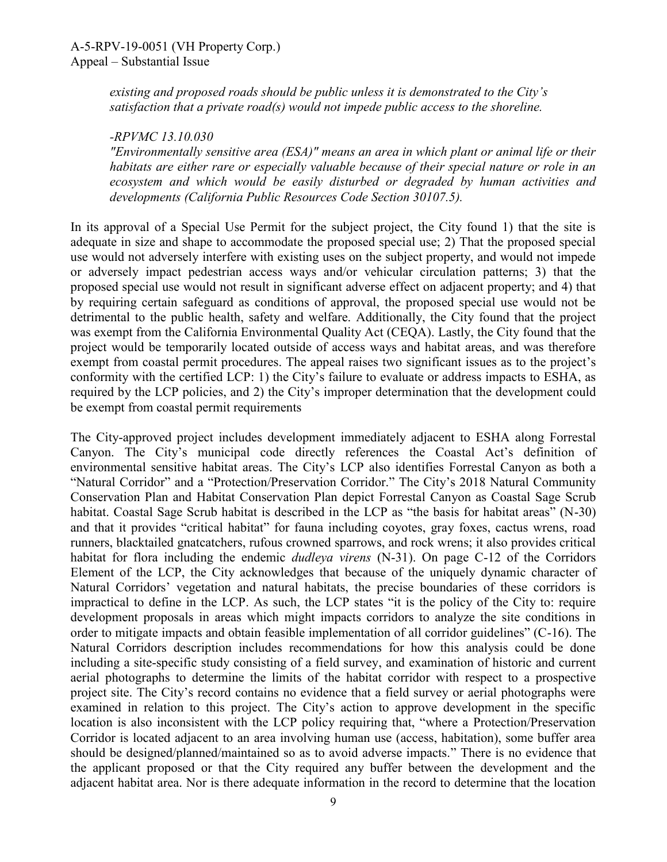*existing and proposed roads should be public unless it is demonstrated to the City's satisfaction that a private road(s) would not impede public access to the shoreline.* 

#### *-RPVMC 13.10.030*

*"Environmentally sensitive area (ESA)" means an area in which plant or animal life or their habitats are either rare or especially valuable because of their special nature or role in an ecosystem and which would be easily disturbed or degraded by human activities and developments (California Public Resources Code Section 30107.5).* 

In its approval of a Special Use Permit for the subject project, the City found 1) that the site is adequate in size and shape to accommodate the proposed special use; 2) That the proposed special use would not adversely interfere with existing uses on the subject property, and would not impede or adversely impact pedestrian access ways and/or vehicular circulation patterns; 3) that the proposed special use would not result in significant adverse effect on adjacent property; and 4) that by requiring certain safeguard as conditions of approval, the proposed special use would not be detrimental to the public health, safety and welfare. Additionally, the City found that the project was exempt from the California Environmental Quality Act (CEQA). Lastly, the City found that the project would be temporarily located outside of access ways and habitat areas, and was therefore exempt from coastal permit procedures. The appeal raises two significant issues as to the project's conformity with the certified LCP: 1) the City's failure to evaluate or address impacts to ESHA, as required by the LCP policies, and 2) the City's improper determination that the development could be exempt from coastal permit requirements

The City-approved project includes development immediately adjacent to ESHA along Forrestal Canyon. The City's municipal code directly references the Coastal Act's definition of environmental sensitive habitat areas. The City's LCP also identifies Forrestal Canyon as both a "Natural Corridor" and a "Protection/Preservation Corridor." The City's 2018 Natural Community Conservation Plan and Habitat Conservation Plan depict Forrestal Canyon as Coastal Sage Scrub habitat. Coastal Sage Scrub habitat is described in the LCP as "the basis for habitat areas" (N-30) and that it provides "critical habitat" for fauna including coyotes, gray foxes, cactus wrens, road runners, blacktailed gnatcatchers, rufous crowned sparrows, and rock wrens; it also provides critical habitat for flora including the endemic *dudleya virens* (N-31). On page C-12 of the Corridors Element of the LCP, the City acknowledges that because of the uniquely dynamic character of Natural Corridors' vegetation and natural habitats, the precise boundaries of these corridors is impractical to define in the LCP. As such, the LCP states "it is the policy of the City to: require development proposals in areas which might impacts corridors to analyze the site conditions in order to mitigate impacts and obtain feasible implementation of all corridor guidelines" (C-16). The Natural Corridors description includes recommendations for how this analysis could be done including a site-specific study consisting of a field survey, and examination of historic and current aerial photographs to determine the limits of the habitat corridor with respect to a prospective project site. The City's record contains no evidence that a field survey or aerial photographs were examined in relation to this project. The City's action to approve development in the specific location is also inconsistent with the LCP policy requiring that, "where a Protection/Preservation Corridor is located adjacent to an area involving human use (access, habitation), some buffer area should be designed/planned/maintained so as to avoid adverse impacts." There is no evidence that the applicant proposed or that the City required any buffer between the development and the adjacent habitat area. Nor is there adequate information in the record to determine that the location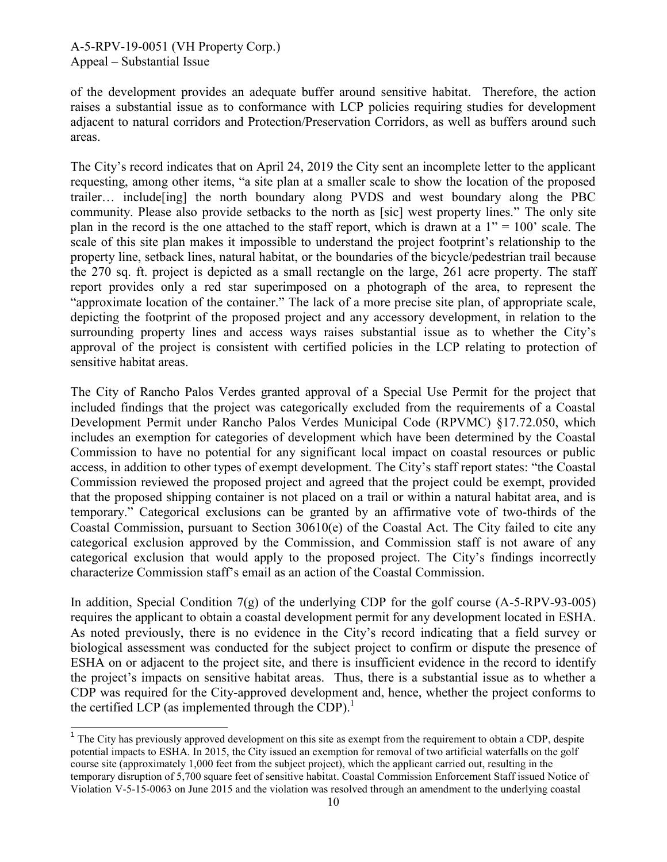$\overline{\phantom{a}}$ 

of the development provides an adequate buffer around sensitive habitat. Therefore, the action raises a substantial issue as to conformance with LCP policies requiring studies for development adjacent to natural corridors and Protection/Preservation Corridors, as well as buffers around such areas.

The City's record indicates that on April 24, 2019 the City sent an incomplete letter to the applicant requesting, among other items, "a site plan at a smaller scale to show the location of the proposed trailer… include[ing] the north boundary along PVDS and west boundary along the PBC community. Please also provide setbacks to the north as [sic] west property lines." The only site plan in the record is the one attached to the staff report, which is drawn at a  $1" = 100"$  scale. The scale of this site plan makes it impossible to understand the project footprint's relationship to the property line, setback lines, natural habitat, or the boundaries of the bicycle/pedestrian trail because the 270 sq. ft. project is depicted as a small rectangle on the large, 261 acre property. The staff report provides only a red star superimposed on a photograph of the area, to represent the "approximate location of the container." The lack of a more precise site plan, of appropriate scale, depicting the footprint of the proposed project and any accessory development, in relation to the surrounding property lines and access ways raises substantial issue as to whether the City's approval of the project is consistent with certified policies in the LCP relating to protection of sensitive habitat areas.

The City of Rancho Palos Verdes granted approval of a Special Use Permit for the project that included findings that the project was categorically excluded from the requirements of a Coastal Development Permit under Rancho Palos Verdes Municipal Code (RPVMC) §17.72.050, which includes an exemption for categories of development which have been determined by the Coastal Commission to have no potential for any significant local impact on coastal resources or public access, in addition to other types of exempt development. The City's staff report states: "the Coastal Commission reviewed the proposed project and agreed that the project could be exempt, provided that the proposed shipping container is not placed on a trail or within a natural habitat area, and is temporary." Categorical exclusions can be granted by an affirmative vote of two-thirds of the Coastal Commission, pursuant to Section 30610(e) of the Coastal Act. The City failed to cite any categorical exclusion approved by the Commission, and Commission staff is not aware of any categorical exclusion that would apply to the proposed project. The City's findings incorrectly characterize Commission staff's email as an action of the Coastal Commission.

In addition, Special Condition 7(g) of the underlying CDP for the golf course (A-5-RPV-93-005) requires the applicant to obtain a coastal development permit for any development located in ESHA. As noted previously, there is no evidence in the City's record indicating that a field survey or biological assessment was conducted for the subject project to confirm or dispute the presence of ESHA on or adjacent to the project site, and there is insufficient evidence in the record to identify the project's impacts on sensitive habitat areas. Thus, there is a substantial issue as to whether a CDP was required for the City-approved development and, hence, whether the project conforms to the certified LCP (as implemented through the CDP).<sup>1</sup>

 $<sup>1</sup>$  The City has previously approved development on this site as exempt from the requirement to obtain a CDP, despite</sup> potential impacts to ESHA. In 2015, the City issued an exemption for removal of two artificial waterfalls on the golf course site (approximately 1,000 feet from the subject project), which the applicant carried out, resulting in the temporary disruption of 5,700 square feet of sensitive habitat. Coastal Commission Enforcement Staff issued Notice of Violation V-5-15-0063 on June 2015 and the violation was resolved through an amendment to the underlying coastal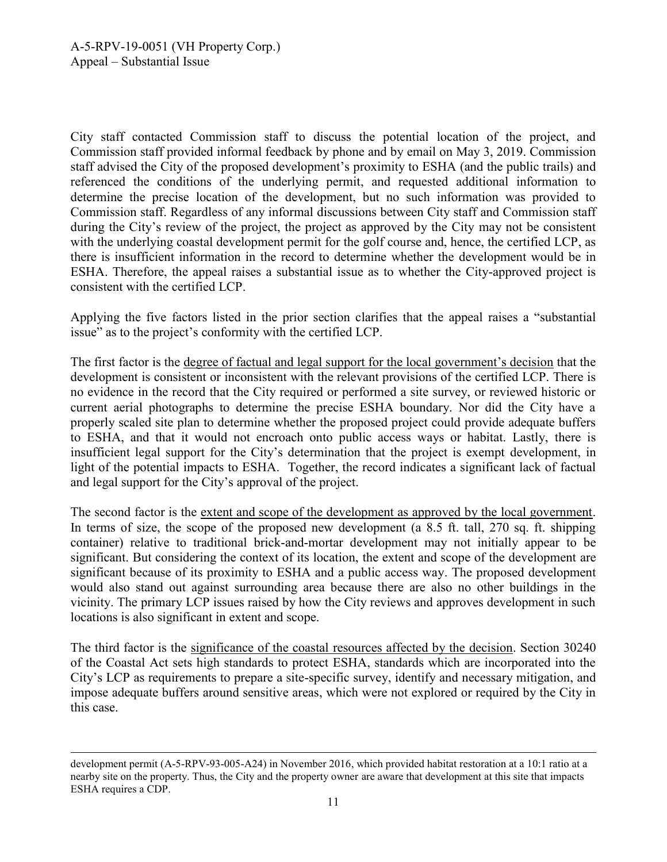City staff contacted Commission staff to discuss the potential location of the project, and Commission staff provided informal feedback by phone and by email on May 3, 2019. Commission staff advised the City of the proposed development's proximity to ESHA (and the public trails) and referenced the conditions of the underlying permit, and requested additional information to determine the precise location of the development, but no such information was provided to Commission staff. Regardless of any informal discussions between City staff and Commission staff during the City's review of the project, the project as approved by the City may not be consistent with the underlying coastal development permit for the golf course and, hence, the certified LCP, as there is insufficient information in the record to determine whether the development would be in ESHA. Therefore, the appeal raises a substantial issue as to whether the City-approved project is consistent with the certified LCP.

Applying the five factors listed in the prior section clarifies that the appeal raises a "substantial issue" as to the project's conformity with the certified LCP.

The first factor is the degree of factual and legal support for the local government's decision that the development is consistent or inconsistent with the relevant provisions of the certified LCP. There is no evidence in the record that the City required or performed a site survey, or reviewed historic or current aerial photographs to determine the precise ESHA boundary. Nor did the City have a properly scaled site plan to determine whether the proposed project could provide adequate buffers to ESHA, and that it would not encroach onto public access ways or habitat. Lastly, there is insufficient legal support for the City's determination that the project is exempt development, in light of the potential impacts to ESHA. Together, the record indicates a significant lack of factual and legal support for the City's approval of the project.

The second factor is the extent and scope of the development as approved by the local government. In terms of size, the scope of the proposed new development (a 8.5 ft. tall, 270 sq. ft. shipping container) relative to traditional brick-and-mortar development may not initially appear to be significant. But considering the context of its location, the extent and scope of the development are significant because of its proximity to ESHA and a public access way. The proposed development would also stand out against surrounding area because there are also no other buildings in the vicinity. The primary LCP issues raised by how the City reviews and approves development in such locations is also significant in extent and scope.

The third factor is the significance of the coastal resources affected by the decision. Section 30240 of the Coastal Act sets high standards to protect ESHA, standards which are incorporated into the City's LCP as requirements to prepare a site-specific survey, identify and necessary mitigation, and impose adequate buffers around sensitive areas, which were not explored or required by the City in this case.

<sup>1</sup> development permit (A-5-RPV-93-005-A24) in November 2016, which provided habitat restoration at a 10:1 ratio at a nearby site on the property. Thus, the City and the property owner are aware that development at this site that impacts ESHA requires a CDP.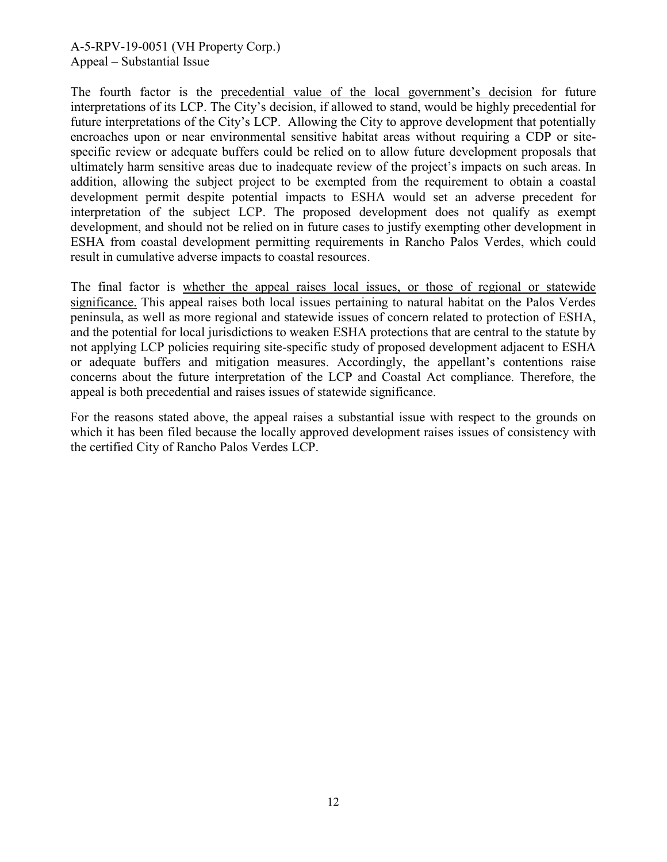The fourth factor is the precedential value of the local government's decision for future interpretations of its LCP. The City's decision, if allowed to stand, would be highly precedential for future interpretations of the City's LCP. Allowing the City to approve development that potentially encroaches upon or near environmental sensitive habitat areas without requiring a CDP or sitespecific review or adequate buffers could be relied on to allow future development proposals that ultimately harm sensitive areas due to inadequate review of the project's impacts on such areas. In addition, allowing the subject project to be exempted from the requirement to obtain a coastal development permit despite potential impacts to ESHA would set an adverse precedent for interpretation of the subject LCP. The proposed development does not qualify as exempt development, and should not be relied on in future cases to justify exempting other development in ESHA from coastal development permitting requirements in Rancho Palos Verdes, which could result in cumulative adverse impacts to coastal resources.

The final factor is whether the appeal raises local issues, or those of regional or statewide significance. This appeal raises both local issues pertaining to natural habitat on the Palos Verdes peninsula, as well as more regional and statewide issues of concern related to protection of ESHA, and the potential for local jurisdictions to weaken ESHA protections that are central to the statute by not applying LCP policies requiring site-specific study of proposed development adjacent to ESHA or adequate buffers and mitigation measures. Accordingly, the appellant's contentions raise concerns about the future interpretation of the LCP and Coastal Act compliance. Therefore, the appeal is both precedential and raises issues of statewide significance.

For the reasons stated above, the appeal raises a substantial issue with respect to the grounds on which it has been filed because the locally approved development raises issues of consistency with the certified City of Rancho Palos Verdes LCP.